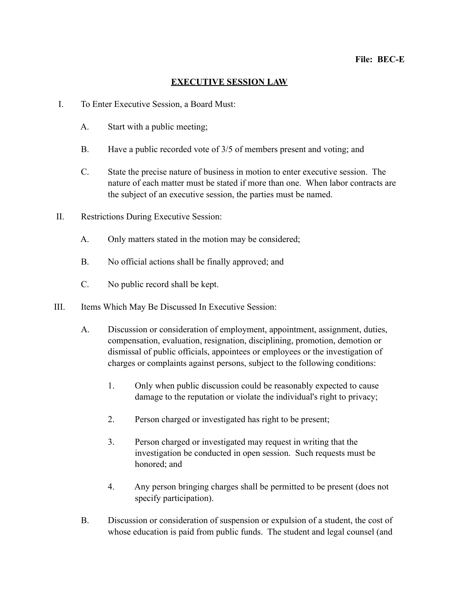## **EXECUTIVE SESSION LAW**

- I. To Enter Executive Session, a Board Must:
	- A. Start with a public meeting;
	- B. Have a public recorded vote of 3/5 of members present and voting; and
	- C. State the precise nature of business in motion to enter executive session. The nature of each matter must be stated if more than one. When labor contracts are the subject of an executive session, the parties must be named.
- II. Restrictions During Executive Session:
	- A. Only matters stated in the motion may be considered;
	- B. No official actions shall be finally approved; and
	- C. No public record shall be kept.
- III. Items Which May Be Discussed In Executive Session:
	- A. Discussion or consideration of employment, appointment, assignment, duties, compensation, evaluation, resignation, disciplining, promotion, demotion or dismissal of public officials, appointees or employees or the investigation of charges or complaints against persons, subject to the following conditions:
		- 1. Only when public discussion could be reasonably expected to cause damage to the reputation or violate the individual's right to privacy;
		- 2. Person charged or investigated has right to be present;
		- 3. Person charged or investigated may request in writing that the investigation be conducted in open session. Such requests must be honored; and
		- 4. Any person bringing charges shall be permitted to be present (does not specify participation).
	- B. Discussion or consideration of suspension or expulsion of a student, the cost of whose education is paid from public funds. The student and legal counsel (and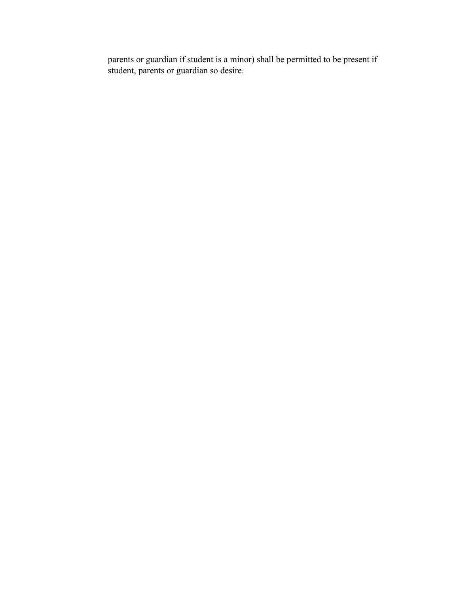parents or guardian if student is a minor) shall be permitted to be present if student, parents or guardian so desire.